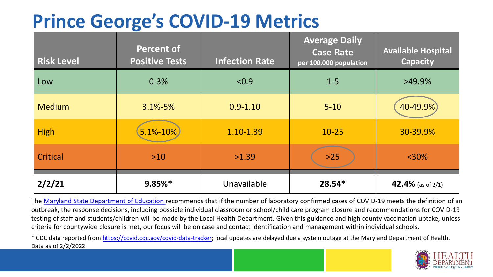## **Prince George's COVID-19 Metrics**

| <b>Risk Level</b> | <b>Percent of</b><br><b>Positive Tests</b> | <b>Infection Rate</b> | <b>Average Daily</b><br><b>Case Rate</b><br>per 100,000 population | <b>Available Hospital</b><br><b>Capacity</b> |
|-------------------|--------------------------------------------|-----------------------|--------------------------------------------------------------------|----------------------------------------------|
| Low               | $0 - 3%$                                   | < 0.9                 | $1 - 5$                                                            | $>49.9\%$                                    |
| <b>Medium</b>     | $3.1\% - 5\%$                              | $0.9 - 1.10$          | $5 - 10$                                                           | 40-49.9%                                     |
| <b>High</b>       | $5.1\% - 10\%$                             | 1.10-1.39             | $10 - 25$                                                          | 30-39.9%                                     |
| Critical          | $>10$                                      | >1.39                 | $>25$                                                              | $<$ 30%                                      |
| 2/2/21            | $9.85%$ *                                  | Unavailable           | $28.54*$                                                           | 42.4% (as of 2/1)                            |

The [Maryland State Department of Education](https://earlychildhood.marylandpublicschools.org/system/files/filedepot/3/covid_guidance_full_080420.pdf) recommends that if the number of laboratory confirmed cases of COVID-19 meets the definition of an outbreak, the response decisions, including possible individual classroom or school/child care program closure and recommendations for COVID-19 testing of staff and students/children will be made by the Local Health Department. Given this guidance and high county vaccination uptake, unless criteria for countywide closure is met, our focus will be on case and contact identification and management within individual schools.

\* CDC data reported from <https://covid.cdc.gov/covid-data-tracker>; local updates are delayed due a system outage at the Maryland Department of Health. Data as of 2/2/2022

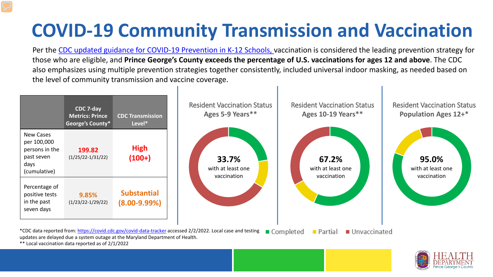## **COVID-19 Community Transmission and Vaccination**

Per the [CDC updated guidance for COVID-19 Prevention in K-12 Schools,](https://www.cdc.gov/coronavirus/2019-ncov/community/schools-childcare/k-12-guidance.html) vaccination is considered the leading prevention strategy for those who are eligible, and **Prince George's County exceeds the percentage of U.S. vaccinations for ages 12 and above**. The CDC also emphasizes using multiple prevention strategies together consistently, included universal indoor masking, as needed based on the level of community transmission and vaccine coverage.





\*\* Local vaccination data reported as of 2/1/2022